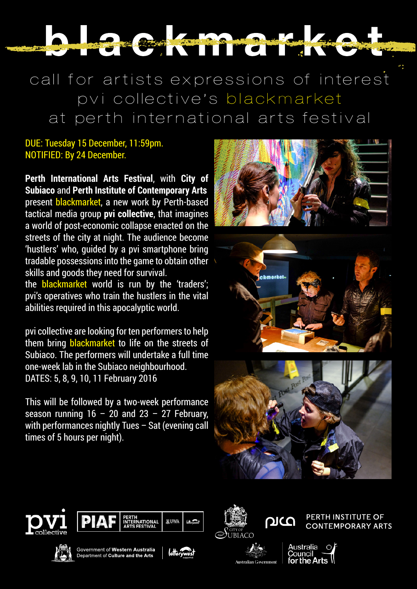# NAME OF BRIDE OF BRIDE OF BRIDE OF BRIDE

call for artists expressions of interest pvi collective's blackmarket at perth international arts festival

#### DUE: Tuesday 15 December, 11:59pm. NOTIFIED: By 24 December.

**Perth International Arts Festival**, with **City of Subiaco** and **Perth Institute of Contemporary Arts** present blackmarket, a new work by Perth-based tactical media group **pvi collective**, that imagines a world of post-economic collapse enacted on the streets of the city at night. The audience become 'hustlers' who, guided by a pvi smartphone bring tradable possessions into the game to obtain other skills and goods they need for survival.

the **blackmarket** world is run by the 'traders'; pvi's operatives who train the hustlers in the vital abilities required in this apocalyptic world.

pvi collective are looking for ten performers to help them bring **blackmarket** to life on the streets of Subiaco. The performers will undertake a full time one-week lab in the Subiaco neighbourhood. DATES: 5, 8, 9, 10, 11 February 2016

This will be followed by a two-week performance season running  $16 - 20$  and  $23 - 27$  February, with performances nightly Tues - Sat (evening call times of 5 hours per night).













Government of Western Australia Department of Culture and the Arts





**Australian Government** 

**PERTH INSTITUTE OF CONTEMPORARY ARTS**